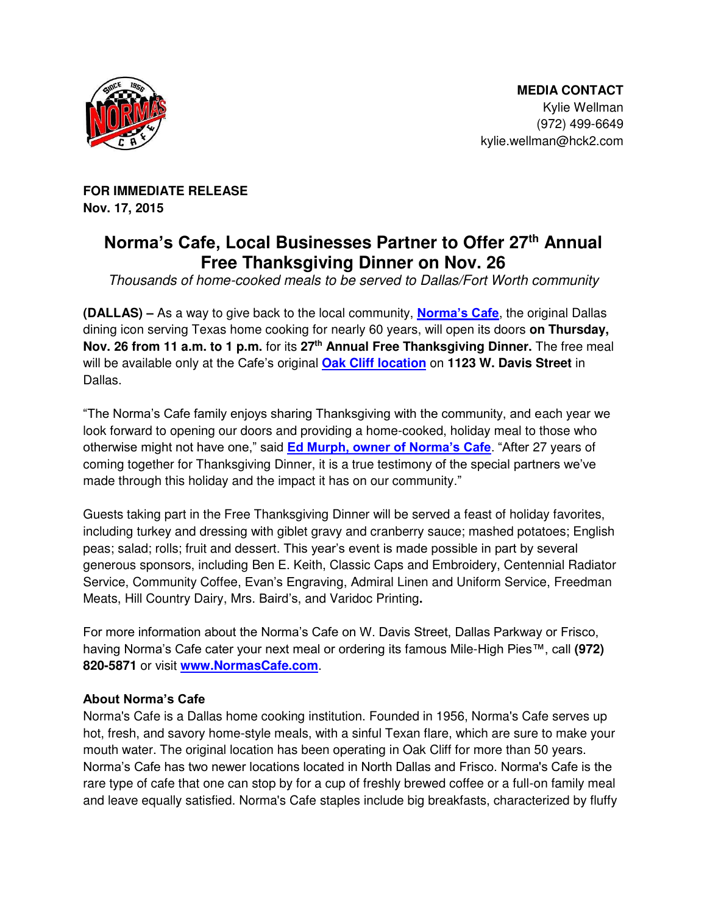

**FOR IMMEDIATE RELEASE Nov. 17, 2015** 

## **Norma's Cafe, Local Businesses Partner to Offer 27th Annual Free Thanksgiving Dinner on Nov. 26**

*Thousands of home-cooked meals to be served to Dallas/Fort Worth community*

**(DALLAS) –** As a way to give back to the local community, **[Norma's Cafe](http://www.normascafe.com/)**, the original Dallas dining icon serving Texas home cooking for nearly 60 years, will open its doors **on Thursday, Nov. 26 from 11 a.m. to 1 p.m.** for its **27th Annual Free Thanksgiving Dinner.** The free meal will be available only at the Cafe's original **[Oak Cliff location](http://normascafe.com/locations/)** on **1123 W. Davis Street** in Dallas.

"The Norma's Cafe family enjoys sharing Thanksgiving with the community, and each year we look forward to opening our doors and providing a home-cooked, holiday meal to those who otherwise might not have one," said **[Ed Murph, owner of Norma's Cafe](http://normascafe.com/about/)**. "After 27 years of coming together for Thanksgiving Dinner, it is a true testimony of the special partners we've made through this holiday and the impact it has on our community."

Guests taking part in the Free Thanksgiving Dinner will be served a feast of holiday favorites, including turkey and dressing with giblet gravy and cranberry sauce; mashed potatoes; English peas; salad; rolls; fruit and dessert. This year's event is made possible in part by several generous sponsors, including Ben E. Keith, Classic Caps and Embroidery, Centennial Radiator Service, Community Coffee, Evan's Engraving, Admiral Linen and Uniform Service, Freedman Meats, Hill Country Dairy, Mrs. Baird's, and Varidoc Printing**.** 

For more information about the Norma's Cafe on W. Davis Street, Dallas Parkway or Frisco, having Norma's Cafe cater your next meal or ordering its famous Mile-High Pies™, call **(972) 820-5871** or visit **[www.NormasCafe.com](http://www.normascafe.com/)**.

## **About Norma's Cafe**

Norma's Cafe is a Dallas home cooking institution. Founded in 1956, Norma's Cafe serves up hot, fresh, and savory home-style meals, with a sinful Texan flare, which are sure to make your mouth water. The original location has been operating in Oak Cliff for more than 50 years. Norma's Cafe has two newer locations located in North Dallas and Frisco. Norma's Cafe is the rare type of cafe that one can stop by for a cup of freshly brewed coffee or a full-on family meal and leave equally satisfied. Norma's Cafe staples include big breakfasts, characterized by fluffy